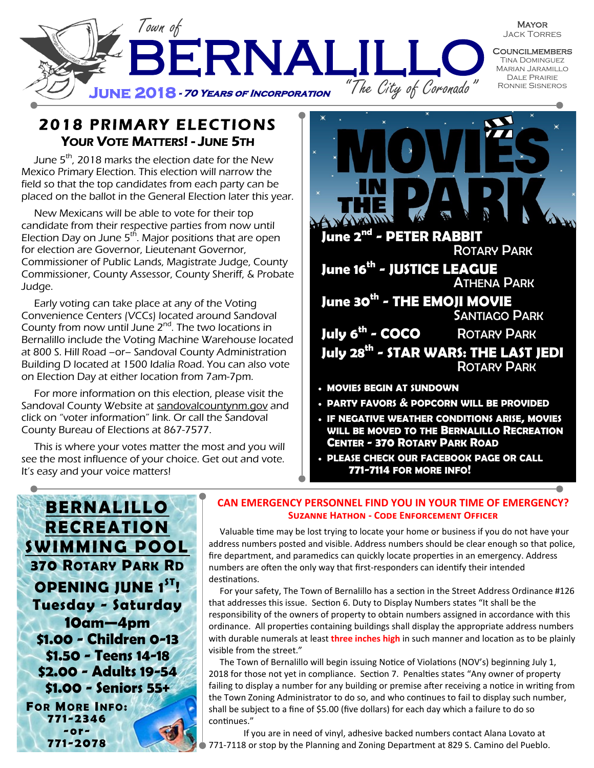

2018 PRIMARY ELECTIONS YOUR VOTE MATTERS! - JUNE 5TH

June  $5<sup>th</sup>$ , 2018 marks the election date for the New Mexico Primary Election. This election will narrow the field so that the top candidates from each party can be placed on the ballot in the General Election later this year.

New Mexicans will be able to vote for their top candidate from their respective parties from now until Election Day on June 5<sup>th</sup>. Major positions that are open for election are Governor, Lieutenant Governor, Commissioner of Public Lands, Magistrate Judge, County Commissioner, County Assessor, County Sheriff, & Probate Judge.

Early voting can take place at any of the Voting Convenience Centers (VCCs) located around Sandoval County from now until June  $2^{nd}$ . The two locations in Bernalillo include the Voting Machine Warehouse located at 800 S. Hill Road –or– Sandoval County Administration Building D located at 1500 Idalia Road. You can also vote on Election Day at either location from 7am-7pm.

For more information on this election, please visit the Sandoval County Website at sandovalcountynm.gov and click on "voter information" link. Or call the Sandoval County Bureau of Elections at 867-7577.

This is where your votes matter the most and you will see the most influence of your choice. Get out and vote. It's easy and your voice matters!



- **PARTY FAVORS & POPCORN WILL BE PROVIDED**
- **IF NEGATIVE WEATHER CONDITIONS ARISE, MOVIES WILL BE MOVED TO THE BERNALILLO RECREATION CENTER - 370 ROTARY PARK ROAD**
- **PLEASE CHECK OUR FACEBOOK PAGE OR CALL 771-7114 FOR MORE INFO!**



#### **CAN EMERGENCY PERSONNEL FIND YOU IN YOUR TIME OF EMERGENCY? Suzanne Hathon - Code Enforcement Officer**

 Valuable time may be lost trying to locate your home or business if you do not have your address numbers posted and visible. Address numbers should be clear enough so that police, fire department, and paramedics can quickly locate properties in an emergency. Address numbers are often the only way that first-responders can identify their intended destinations.

 For your safety, The Town of Bernalillo has a section in the Street Address Ordinance #126 that addresses this issue. Section 6. Duty to Display Numbers states "It shall be the responsibility of the owners of property to obtain numbers assigned in accordance with this ordinance. All properties containing buildings shall display the appropriate address numbers with durable numerals at least **three inches high** in such manner and location as to be plainly visible from the street."

 The Town of Bernalillo will begin issuing Notice of Violations (NOV's) beginning July 1, 2018 for those not yet in compliance. Section 7. Penalties states "Any owner of property failing to display a number for any building or premise after receiving a notice in writing from the Town Zoning Administrator to do so, and who continues to fail to display such number, shall be subject to a fine of \$5.00 (five dollars) for each day which a failure to do so continues."

If you are in need of vinyl, adhesive backed numbers contact Alana Lovato at 771-7118 or stop by the Planning and Zoning Department at 829 S. Camino del Pueblo.